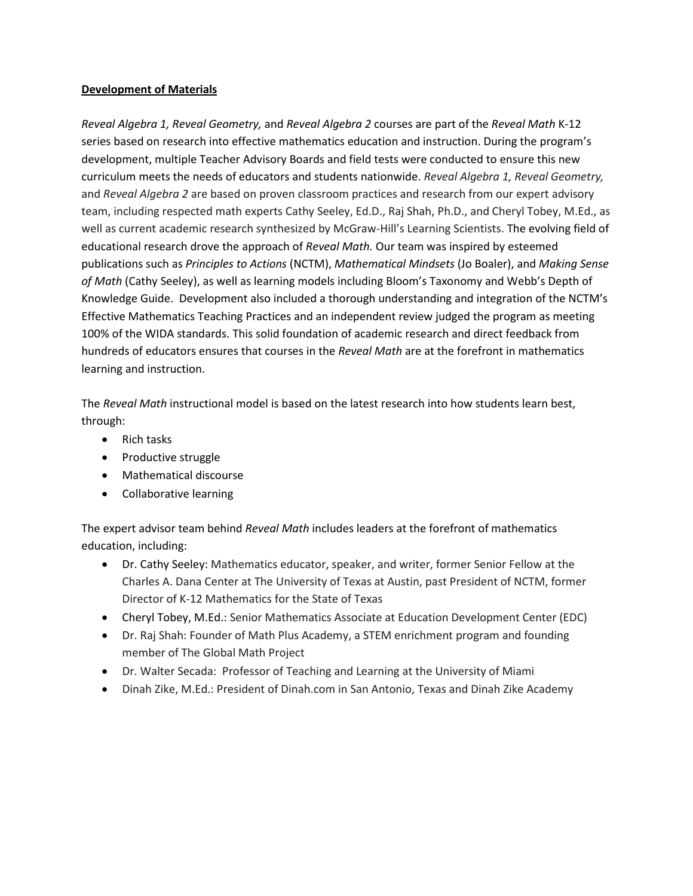## **Development of Materials**

*Reveal Algebra 1, Reveal Geometry,* and *Reveal Algebra 2* courses are part of the *Reveal Math* K-12 series based on research into effective mathematics education and instruction. During the program's development, multiple Teacher Advisory Boards and field tests were conducted to ensure this new curriculum meets the needs of educators and students nationwide. *Reveal Algebra 1, Reveal Geometry,*  and *Reveal Algebra 2* are based on proven classroom practices and research from our expert advisory team, including respected math experts Cathy Seeley, Ed.D., Raj Shah, Ph.D., and Cheryl Tobey, M.Ed., as well as current academic research synthesized by McGraw-Hill's Learning Scientists. The evolving field of educational research drove the approach of *Reveal Math.* Our team was inspired by esteemed publications such as *Principles to Actions* (NCTM), *Mathematical Mindsets* (Jo Boaler), and *Making Sense of Math* (Cathy Seeley), as well as learning models including Bloom's Taxonomy and Webb's Depth of Knowledge Guide. Development also included a thorough understanding and integration of the NCTM's Effective Mathematics Teaching Practices and an independent review judged the program as meeting 100% of the WIDA standards. This solid foundation of academic research and direct feedback from hundreds of educators ensures that courses in the *Reveal Math* are at the forefront in mathematics learning and instruction.

The *Reveal Math* instructional model is based on the latest research into how students learn best, through:

- Rich tasks
- Productive struggle
- Mathematical discourse
- Collaborative learning

The expert advisor team behind *Reveal Math* includes leaders at the forefront of mathematics education, including:

- Dr. Cathy Seeley: Mathematics educator, speaker, and writer, former Senior Fellow at the Charles A. Dana Center at The University of Texas at Austin, past President of NCTM, former Director of K-12 Mathematics for the State of Texas
- Cheryl Tobey, M.Ed.: Senior Mathematics Associate at Education Development Center (EDC)
- Dr. Raj Shah: Founder of Math Plus Academy, a STEM enrichment program and founding member of The Global Math Project
- Dr. Walter Secada: Professor of Teaching and Learning at the University of Miami
- Dinah Zike, M.Ed.: President of Dinah.com in San Antonio, Texas and Dinah Zike Academy